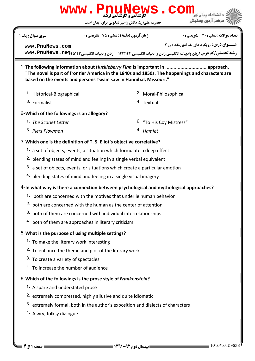## $3.$  both of them are concerned with individual interrelationships  $4.$  both of them are approaches in literary criticism

**[www.PnuNews.com](http://pnunews.com)**

## What is the purpose of using multiple settings? 5-

- To make the literary work interesting **1.**
- $2.$  To enhance the theme and plot of the literary work

 $4.$  blending states of mind and feeling in a single visual imagery

 $2.$  both are concerned with the human as the center of attention

both are concerned with the motives that underlie human behavior **1.**

- 3. To create a variety of spectacles
- 4. To increase the number of audience

## 6-Which of the followings is the prose style of Frankenstein?

- A spare and understated prose **1.**
- 2. extremely compressed, highly allusive and quite idiomatic
- $3.$  extremely formal, both in the author's exposition and dialects of characters
- 4. A wry, folksy dialogue

1010/10109638 1391-92 نيمسال دوم 1 از 4 صفحه

1- The following information about Huckleberry Finn is important in .............................. approach. "The novel is part of frontier America in the 1840s and 1850s. The happenings and characters are based on the events and persons Twain saw in Hannibal, Missouri." 2. Moral-Philosophical <sup>3.</sup> Formalist **Textual 1.** Historical-Biographical 2- Which of the followings is an allegory? 2. "To His Coy Mistress" 3. Piers Plowman Hamlet (1996) 3. Hamlet **1.** The Scarlet Letter 3- Which one is the definition of T. S. Eliot's objective correlative? 1. a set of objects, events, a situation which formulate a deep effect <sup>2.</sup> blending states of mind and feeling in a single verbal equivalent  $3.$  a set of objects, events, or situations which create a particular emotion

4-In what way is there a connection between psychological and mythological approaches?

لی(ع): دانش راهبر نیکویی برای ایمان است



**عنـــوان درس:** رویکرد های نقد ادبی،نقدادبی ۲

## حضرت ع www . Pnul **[www.PnuNews.com](http://pnunews.com)**

ر**شته تحصيلي/كد درس:** زبان وادبيات انگليسي،زبان و ادبيات انگليسي ۱۲۱۲۱۴۴ - ،زبان وادبيات انگليسي www . PnuNews . ne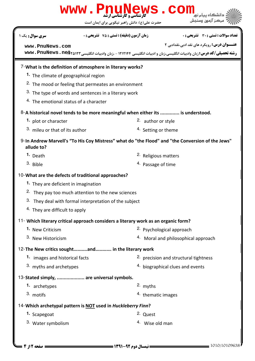|                                                | WWW.Pnunew<br>حضرت علی(ع): دانش راهبر نیکویی برای ایمان است                                                      | <b>ews.</b><br>COII                                |  |  |  |  |
|------------------------------------------------|------------------------------------------------------------------------------------------------------------------|----------------------------------------------------|--|--|--|--|
| <b>سری سوال :</b> یک ۱                         | <b>زمان آزمون (دقیقه) : تستی : 75 تشریحی : 0</b>                                                                 | تعداد سوالات : تستى : 30 ٪ تشريحي : 0              |  |  |  |  |
| www.PnuNews.com                                |                                                                                                                  | <b>عنـــوان درس:</b> رویکرد های نقد ادبی،نقدادبی ۲ |  |  |  |  |
|                                                | رشته تحصیلی/کد درس: زبان وادبیات انگلیسی،زبان و ادبیات انگلیسی ۱۲۱۲۱۴۴ - ،زبان وادبیات انگلیسی www. PnuNews . ne |                                                    |  |  |  |  |
|                                                | 7- What is the definition of atmosphere in literary works?                                                       |                                                    |  |  |  |  |
|                                                | 1. The climate of geographical region                                                                            |                                                    |  |  |  |  |
|                                                | <sup>2.</sup> The mood or feeling that permeates an environment                                                  |                                                    |  |  |  |  |
|                                                | 3. The type of words and sentences in a literary work                                                            |                                                    |  |  |  |  |
| 4. The emotional status of a character         |                                                                                                                  |                                                    |  |  |  |  |
|                                                | 8-A historical novel tends to be more meaningful when either its  is understood.                                 |                                                    |  |  |  |  |
| 1. plot or character                           | 2. author or style                                                                                               |                                                    |  |  |  |  |
| 3. mileu or that of its author                 |                                                                                                                  | 4. Setting or theme                                |  |  |  |  |
| allude to?                                     | 9-In Andrew Marvell's "To His Coy Mistress" what do "the Flood" and "the Conversion of the Jews"                 |                                                    |  |  |  |  |
| 1. Death                                       |                                                                                                                  | 2. Religious matters                               |  |  |  |  |
| 3. Bible                                       | 4. Passage of time                                                                                               |                                                    |  |  |  |  |
|                                                | 10-What are the defects of traditional approaches?                                                               |                                                    |  |  |  |  |
| <sup>1</sup> They are deficient in imagination |                                                                                                                  |                                                    |  |  |  |  |
|                                                | <sup>2.</sup> They pay too much attention to the new sciences                                                    |                                                    |  |  |  |  |
|                                                | 3. They deal with formal interpretation of the subject                                                           |                                                    |  |  |  |  |
| <sup>4</sup> . They are difficult to apply     |                                                                                                                  |                                                    |  |  |  |  |
|                                                | 11- Which literary critical approach considers a literary work as an organic form?                               |                                                    |  |  |  |  |
| 1. New Criticism                               |                                                                                                                  | 2. Psychological approach                          |  |  |  |  |
| 3. New Historicism                             |                                                                                                                  | 4. Moral and philosophical approach                |  |  |  |  |
|                                                | 12-The New critics soughtand in the literary work                                                                |                                                    |  |  |  |  |
| 1. images and historical facts                 |                                                                                                                  | <sup>2.</sup> precision and structural tightness   |  |  |  |  |
| 3. myths and archetypes                        |                                                                                                                  | 4. biographical clues and events                   |  |  |  |  |
|                                                | 13-Stated simply,  are universal symbols.                                                                        |                                                    |  |  |  |  |
| 1. archetypes                                  | 2. myths                                                                                                         |                                                    |  |  |  |  |
| 3. motifs                                      |                                                                                                                  | <sup>4.</sup> thematic images                      |  |  |  |  |
|                                                | 14- Which archetypal pattern is NOT used in Huckleberry Finn?                                                    |                                                    |  |  |  |  |
| 1. Scapegoat                                   | 2. Quest                                                                                                         |                                                    |  |  |  |  |
| 3. Water symbolism                             | 4. Wise old man                                                                                                  |                                                    |  |  |  |  |
|                                                |                                                                                                                  |                                                    |  |  |  |  |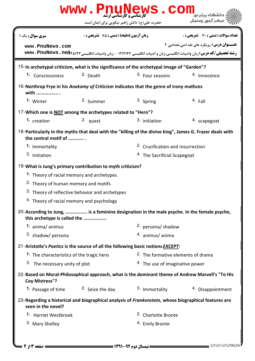| WWW.PnuNews.com                                                                                                                  |                                                             |                                               |                                                                                                                                                                        |  |  |  |
|----------------------------------------------------------------------------------------------------------------------------------|-------------------------------------------------------------|-----------------------------------------------|------------------------------------------------------------------------------------------------------------------------------------------------------------------------|--|--|--|
|                                                                                                                                  | حضرت علی(ع): دانش راهبر نیکویی برای ایمان است               |                                               | مركز آزمون وسنجش                                                                                                                                                       |  |  |  |
| <b>سری سوال :</b> یک ۱                                                                                                           | <b>زمان آزمون (دقیقه) : تستی : 75 ٪ تشریحی : 0</b>          |                                               | <b>تعداد سوالات : تستی : 30 ٪ تشریحی : 0</b>                                                                                                                           |  |  |  |
| www.PnuNews.com                                                                                                                  |                                                             |                                               | <b>عنـــوان درس:</b> رویکرد های نقد ادبی،نقدادبی ۲<br>رشته تحصیلی/کد درس: زبان وادبیات انگلیسی،زبان و ادبیات انگلیسی ۱۲۱۲۱۴۴ - ،زبان وادبیات انگلیسی www. PnuNews . ne |  |  |  |
| 15-In archetypal criticism, what is the significance of the archetypal image of "Garden"?                                        |                                                             |                                               |                                                                                                                                                                        |  |  |  |
| 1. Consciousness                                                                                                                 | 2. Death                                                    | 3. Four seasons                               | 4. Innocence                                                                                                                                                           |  |  |  |
| 16-Northrop Frye in his Anatomy of Criticism indicates that the genre of irony mathces<br>with                                   |                                                             |                                               |                                                                                                                                                                        |  |  |  |
| 1. Winter                                                                                                                        | 2. Summer                                                   | 3. Spring                                     | 4. Fall                                                                                                                                                                |  |  |  |
|                                                                                                                                  | 17-Which one is NOT among the archetypes related to "Hero"? |                                               |                                                                                                                                                                        |  |  |  |
| 1. creation                                                                                                                      | 2. quest                                                    | 3. initiation                                 | 4. scapegoat                                                                                                                                                           |  |  |  |
| 18-Particularly in the myths that deal with the "killing of the divine king", James G. Frazer deals with<br>the central motif of |                                                             |                                               |                                                                                                                                                                        |  |  |  |
| 1. Immortality                                                                                                                   |                                                             | <sup>2</sup> . Crucification and resurrection |                                                                                                                                                                        |  |  |  |
| 3. Initiation                                                                                                                    |                                                             | <sup>4</sup> The Sacrificial Scapegoat        |                                                                                                                                                                        |  |  |  |
| 19-What is Jung's primary contribution to myth criticism?                                                                        |                                                             |                                               |                                                                                                                                                                        |  |  |  |
| 1. Theory of racial memory and archetypes                                                                                        |                                                             |                                               |                                                                                                                                                                        |  |  |  |
| <sup>2.</sup> Theory of human memory and motifs                                                                                  |                                                             |                                               |                                                                                                                                                                        |  |  |  |
|                                                                                                                                  | 3. Theory of reflective behavior and archetypes             |                                               |                                                                                                                                                                        |  |  |  |
| 4. Theory of racial memory and psychology                                                                                        |                                                             |                                               |                                                                                                                                                                        |  |  |  |
| 20-According to Jung,  is a feminine designation in the male psyche. In the female psyche,<br>this archetype is called the       |                                                             |                                               |                                                                                                                                                                        |  |  |  |
| 1. anima/ animus                                                                                                                 |                                                             | 2. persona/ shadow                            |                                                                                                                                                                        |  |  |  |
| 3. shadow/ persona                                                                                                               |                                                             | 4. animus/ anima                              |                                                                                                                                                                        |  |  |  |
| 21-Aristotle's Poetics is the source of all the following basic notions <b>EXCEPT</b> :                                          |                                                             |                                               |                                                                                                                                                                        |  |  |  |
| 1. The characteristics of the tragic hero                                                                                        |                                                             | 2. The formative elements of drama            |                                                                                                                                                                        |  |  |  |
|                                                                                                                                  | 3. The necessary unity of plot                              |                                               | <sup>4.</sup> The use of imaginative power                                                                                                                             |  |  |  |
| 22-Based on Moral-Philosophical approach, what is the dominant theme of Andrew Marvell's "To His<br><b>Coy Mistress"?</b>        |                                                             |                                               |                                                                                                                                                                        |  |  |  |
|                                                                                                                                  | <b>1.</b> Passage of time $2.$ Seize the day                | <sup>3.</sup> Immortality                     | 4. Disappointment                                                                                                                                                      |  |  |  |
| 23-Regarding a historical and biographical analysis of Frankenstein, whose biographical features are<br>seen in the novel?       |                                                             |                                               |                                                                                                                                                                        |  |  |  |
| 1. Harriet Westbrook                                                                                                             |                                                             | <sup>2.</sup> Charlotte Bronte                |                                                                                                                                                                        |  |  |  |
| 3. Mary Shelley                                                                                                                  |                                                             | <sup>4.</sup> Emily Bronte                    |                                                                                                                                                                        |  |  |  |
|                                                                                                                                  |                                                             |                                               |                                                                                                                                                                        |  |  |  |